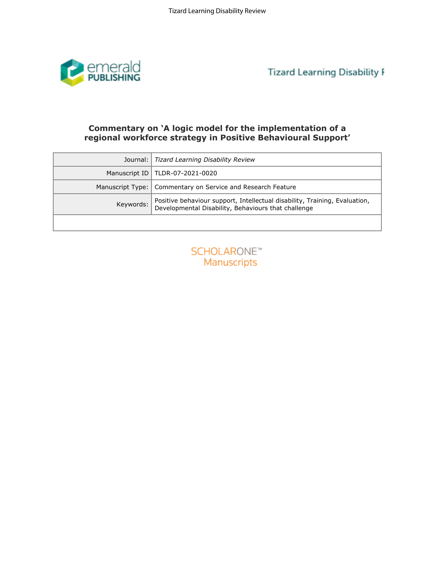

# Commentary on 'A logic model for the implementation of a regional workforce strategy in Positive Behavioural Support'

| Commentary on 'A logic model for the implementation of a<br>regional workforce strategy in Positive Behavioural Support'          |  |
|-----------------------------------------------------------------------------------------------------------------------------------|--|
| Journal:                                                                                                                          |  |
| Tizard Learning Disability Review                                                                                                 |  |
| TLDR-07-2021-0020                                                                                                                 |  |
| Commentary on Service and Research Feature                                                                                        |  |
| Positive behaviour support, Intellectual disability, Training, Evaluation,<br>Developmental Disability, Behaviours that challenge |  |
|                                                                                                                                   |  |
| <b>SCHOLARONE™</b><br>Manuscripts                                                                                                 |  |
|                                                                                                                                   |  |

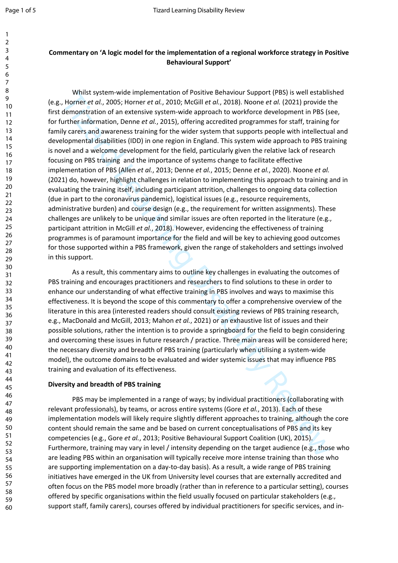1 2

# **Commentary on 'A logic model for the implementation of a regional workforce strategy in Positive Behavioural Support'**

Whils system-wide implementation of Positive Behaviour Support (PBS) is well establisty the entropies the content of an extensive system-wide approach to whe does once the former entail, 2005; Homer et al., 2005; Homer et Whilst system-wide implementation of Positive Behaviour Support (PBS) is well established (e.g., Horner *et al.*, 2005; Horner *et al.*, 2010; McGill *et al.*, 2018). Noone *et al.* (2021) provide the first demonstration of an extensive system-wide approach to workforce development in PBS (see, for further information, Denne *et al.*, 2015), offering accredited programmes for staff, training for family carers and awareness training for the wider system that supports people with intellectual and developmental disabilities (IDD) in one region in England. This system wide approach to PBS training is novel and a welcome development for the field, particularly given the relative lack of research focusing on PBS training and the importance of systems change to facilitate effective implementation of PBS (Allen *et al.*, 2013; Denne *et al.*, 2015; Denne *et al.*, 2020). Noone *et al.* (2021) do, however, highlight challenges in relation to implementing this approach to training and in evaluating the training itself, including participant attrition, challenges to ongoing data collection (due in part to the coronavirus pandemic), logistical issues (e.g., resource requirements, administrative burden) and course design (e.g., the requirement for written assignments). These challenges are unlikely to be unique and similar issues are often reported in the literature (e.g., participant attrition in McGill *et al.*, 2018). However, evidencing the effectiveness of training programmes is of paramount importance for the field and will be key to achieving good outcomes for those supported within a PBS framework, given the range of stakeholders and settings involved in this support.

As a result, this commentary aims to outline key challenges in evaluating the outcomes of PBS training and encourages practitioners and researchers to find solutions to these in order to enhance our understanding of what effective training in PBS involves and ways to maximise this effectiveness. It is beyond the scope of this commentary to offer a comprehensive overview of the literature in this area (interested readers should consult existing reviews of PBS training research, e.g., MacDonald and McGill, 2013; Mahon *et al.*, 2021) or an exhaustive list of issues and their possible solutions, rather the intention is to provide a springboard for the field to begin considering and overcoming these issues in future research / practice. Three main areas will be considered here; the necessary diversity and breadth of PBS training (particularly when utilising a system-wide model), the outcome domains to be evaluated and wider systemic issues that may influence PBS training and evaluation of its effectiveness.

# **Diversity and breadth of PBS training**

PBS may be implemented in a range of ways; by individual practitioners (collaborating with relevant professionals), by teams, or across entire systems (Gore *et al.*, 2013). Each of these implementation models will likely require slightly different approaches to training, although the core content should remain the same and be based on current conceptualisations of PBS and its key competencies (e.g., Gore *et al.*, 2013; Positive Behavioural Support Coalition (UK), 2015). Furthermore, training may vary in level / intensity depending on the target audience (e.g., those who are leading PBS within an organisation will typically receive more intense training than those who are supporting implementation on a day-to-day basis). As a result, a wide range of PBS training initiatives have emerged in the UK from University level courses that are externally accredited and often focus on the PBS model more broadly (rather than in reference to a particular setting), courses offered by specific organisations within the field usually focused on particular stakeholders (e.g., support staff, family carers), courses offered by individual practitioners for specific services, and in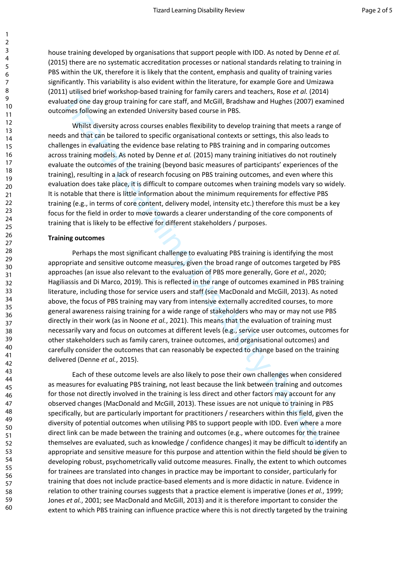house training developed by organisations that support people with IDD. As noted by Denne *et al.* (2015) there are no systematic accreditation processes or national standards relating to training in PBS within the UK, therefore it is likely that the content, emphasis and quality of training varies significantly. This variability is also evident within the literature, for example Gore and Umizawa (2011) utilised brief workshop-based training for family carers and teachers, Rose *et al.* (2014) evaluated one day group training for care staff, and McGill, Bradshaw and Hughes (2007) examined outcomes following an extended University based course in PBS.

Whilst diversity across courses enables flexibility to develop training that meets a range of needs and that can be tailored to specific organisational contexts or settings, this also leads to challenges in evaluating the evidence base relating to PBS training and in comparing outcomes across training models. As noted by Denne *et al.* (2015) many training initiatives do not routinely evaluate the outcomes of the training (beyond basic measures of participants' experiences of the training), resulting in a lack of research focusing on PBS training outcomes, and even where this evaluation does take place, it is difficult to compare outcomes when training models vary so widely. It is notable that there is little information about the minimum requirements for effective PBS training (e.g., in terms of core content, delivery model, intensity etc.) therefore this must be a key focus for the field in order to move towards a clearer understanding of the core components of training that is likely to be effective for different stakeholders / purposes.

#### **Training outcomes**

J) utilies one two reasons posses training for training contents and teachers, nose et al. (2014)<br>and the disk group training for care staff, and McGill, Bradshaw and Hughes (2007) exam<br>omes following an extended Universit Perhaps the most significant challenge to evaluating PBS training is identifying the most appropriate and sensitive outcome measures, given the broad range of outcomes targeted by PBS approaches (an issue also relevant to the evaluation of PBS more generally, Gore *et al.*, 2020; Hagiliassis and Di Marco, 2019). This is reflected in the range of outcomes examined in PBS training literature, including those for service users and staff (see MacDonald and McGill, 2013). As noted above, the focus of PBS training may vary from intensive externally accredited courses, to more general awareness raising training for a wide range of stakeholders who may or may not use PBS directly in their work (as in Noone *et al.*, 2021). This means that the evaluation of training must necessarily vary and focus on outcomes at different levels (e.g., service user outcomes, outcomes for other stakeholders such as family carers, trainee outcomes, and organisational outcomes) and carefully consider the outcomes that can reasonably be expected to change based on the training delivered (Denne *et al.*, 2015).

Each of these outcome levels are also likely to pose their own challenges when considered as measures for evaluating PBS training, not least because the link between training and outcomes for those not directly involved in the training is less direct and other factors may account for any observed changes (MacDonald and McGill, 2013). These issues are not unique to training in PBS specifically, but are particularly important for practitioners / researchers within this field, given the diversity of potential outcomes when utilising PBS to support people with IDD. Even where a more direct link can be made between the training and outcomes (e.g., where outcomes for the trainee themselves are evaluated, such as knowledge / confidence changes) it may be difficult to identify an appropriate and sensitive measure for this purpose and attention within the field should be given to developing robust, psychometrically valid outcome measures. Finally, the extent to which outcomes for trainees are translated into changes in practice may be important to consider, particularly for training that does not include practice-based elements and is more didactic in nature. Evidence in relation to other training courses suggests that a practice element is imperative (Jones *et al.*, 1999; Jones *et al.*, 2001; see MacDonald and McGill, 2013) and it is therefore important to consider the extent to which PBS training can influence practice where this is not directly targeted by the training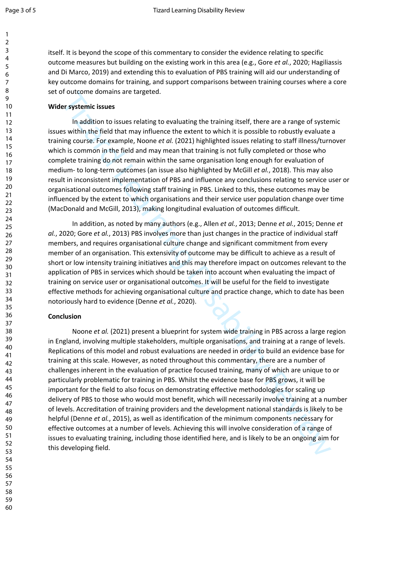1

itself. It is beyond the scope of this commentary to consider the evidence relating to specific outcome measures but building on the existing work in this area (e.g., Gore *et al.*, 2020; Hagiliassis and Di Marco, 2019) and extending this to evaluation of PBS training will aid our understanding of key outcome domains for training, and support comparisons between training courses where a core set of outcome domains are targeted.

### **Wider systemic issues**

In addition to issues relating to evaluating the training itself, there are a range of systemic issues within the field that may influence the extent to which it is possible to robustly evaluate a training course. For example, Noone *et al.* (2021) highlighted issues relating to staff illness/turnover which is common in the field and may mean that training is not fully completed or those who complete training do not remain within the same organisation long enough for evaluation of medium- to long-term outcomes (an issue also highlighted by McGill *et al.*, 2018). This may also result in inconsistent implementation of PBS and influence any conclusions relating to service user or organisational outcomes following staff training in PBS. Linked to this, these outcomes may be influenced by the extent to which organisations and their service user population change over time (MacDonald and McGill, 2013), making longitudinal evaluation of outcomes difficult.

In addition, as noted by many authors (e.g., Allen *et al.*, 2013; Denne *et al.*, 2015; Denne *et al.*, 2020; Gore *et al.*, 2013) PBS involves more than just changes in the practice of individual staff members, and requires organisational culture change and significant commitment from every member of an organisation. This extensivity of outcome may be difficult to achieve as a result of short or low intensity training initiatives and this may therefore impact on outcomes relevant to the application of PBS in services which should be taken into account when evaluating the impact of training on service user or organisational outcomes. It will be useful for the field to investigate effective methods for achieving organisational culture and practice change, which to date has been notoriously hard to evidence (Denne *et al.*, 2020).

# **Conclusion**

or outcome comains are targeted.<br>
Somewhaves relating to evaluating the training itself, there are a range of system in addition to issues relating to evaluating the training isself. There are a range of system is system i Noone *et al.* (2021) present a blueprint for system wide training in PBS across a large region in England, involving multiple stakeholders, multiple organisations, and training at a range of levels. Replications of this model and robust evaluations are needed in order to build an evidence base for training at this scale. However, as noted throughout this commentary, there are a number of challenges inherent in the evaluation of practice focused training, many of which are unique to or particularly problematic for training in PBS. Whilst the evidence base for PBS grows, it will be important for the field to also focus on demonstrating effective methodologies for scaling up delivery of PBS to those who would most benefit, which will necessarily involve training at a number of levels. Accreditation of training providers and the development national standards is likely to be helpful (Denne *et al.*, 2015), as well as identification of the minimum components necessary for effective outcomes at a number of levels. Achieving this will involve consideration of a range of issues to evaluating training, including those identified here, and is likely to be an ongoing aim for this developing field.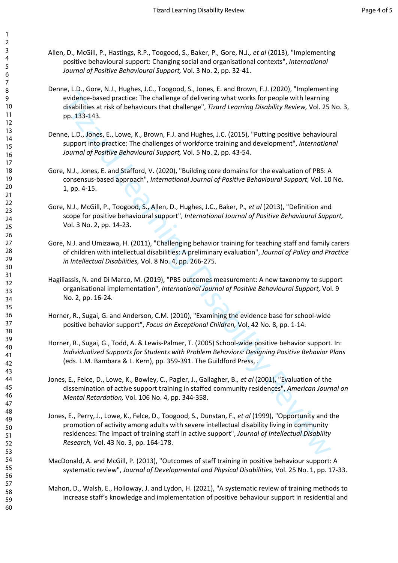- Allen, D., McGill, P., Hastings, R.P., Toogood, S., Baker, P., Gore, N.J.*, et al* (2013), "Implementing positive behavioural support: Changing social and organisational contexts", *International Journal of Positive Behavioural Support,* Vol. 3 No. 2, pp. 32-41.
- Denne, L.D., Gore, N.J., Hughes, J.C., Toogood, S., Jones, E. and Brown, F.J. (2020), "Implementing evidence-based practice: The challenge of delivering what works for people with learning disabilities at risk of behaviours that challenge", *Tizard Learning Disability Review,* Vol. 25 No. 3, pp. 133-143.
- Denne, L.D., Jones, E., Lowe, K., Brown, F.J. and Hughes, J.C. (2015), "Putting positive behavioural support into practice: The challenges of workforce training and development", *International Journal of Positive Behavioural Support,* Vol. 5 No. 2, pp. 43-54.
- Gore, N.J., Jones, E. and Stafford, V. (2020), "Building core domains for the evaluation of PBS: A consensus-based approach", *International Journal of Positive Behavioural Support,* Vol. 10 No. 1, pp. 4-15.
- Gore, N.J., McGill, P., Toogood, S., Allen, D., Hughes, J.C., Baker, P.*, et al* (2013), "Definition and scope for positive behavioural support", *International Journal of Positive Behavioural Support,*  Vol. 3 No. 2, pp. 14-23.
- Gore, N.J. and Umizawa, H. (2011), "Challenging behavior training for teaching staff and family carers of children with intellectual disabilities: A preliminary evaluation", *Journal of Policy and Practice in Intellectual Disabilities,* Vol. 8 No. 4, pp. 266-275.
- Hagiliassis, N. and Di Marco, M. (2019), "PBS outcomes measurement: A new taxonomy to support organisational implementation", *International Journal of Positive Behavioural Support,* Vol. 9 No. 2, pp. 16-24.
- Horner, R., Sugai, G. and Anderson, C.M. (2010), "Examining the evidence base for school-wide positive behavior support", *Focus on Exceptional Children,* Vol. 42 No. 8, pp. 1-14.
- Horner, R., Sugai, G., Todd, A. & Lewis-Palmer, T. (2005) School-wide positive behavior support. In: *Individualized Supports for Students with Problem Behaviors: Designing Positive Behavior Plans*  (eds. L.M. Bambara & L. Kern), pp. 359-391. The Guildford Press, .
- Jones, E., Felce, D., Lowe, K., Bowley, C., Pagler, J., Gallagher, B.*, et al* (2001), "Evaluation of the dissemination of active support training in staffed community residences", *American Journal on Mental Retardation,* Vol. 106 No. 4, pp. 344-358.
- evolume-based practice: The challenge of delivering whis worse. To people with bearing evolume-based practice: The challenge of delivering what works for people with bearing pp. 133-143.<br>
The challenge of delivering what w Jones, E., Perry, J., Lowe, K., Felce, D., Toogood, S., Dunstan, F.*, et al* (1999), "Opportunity and the promotion of activity among adults with severe intellectual disability living in community residences: The impact of training staff in active support", *Journal of Intellectual Disability Research,* Vol. 43 No. 3, pp. 164-178.
- MacDonald, A. and McGill, P. (2013), "Outcomes of staff training in positive behaviour support: A systematic review", *Journal of Developmental and Physical Disabilities,* Vol. 25 No. 1, pp. 17-33.
- Mahon, D., Walsh, E., Holloway, J. and Lydon, H. (2021), "A systematic review of training methods to increase staff's knowledge and implementation of positive behaviour support in residential and